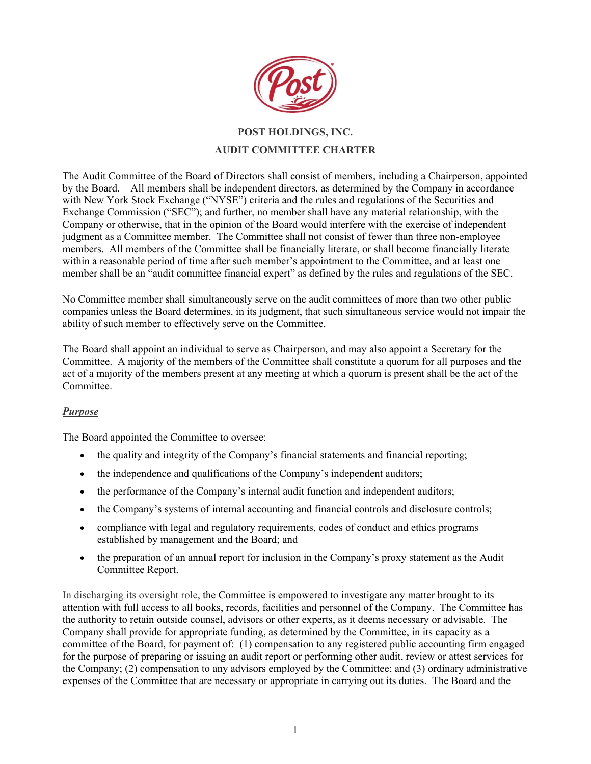

## **POST HOLDINGS, INC. AUDIT COMMITTEE CHARTER**

The Audit Committee of the Board of Directors shall consist of members, including a Chairperson, appointed by the Board. All members shall be independent directors, as determined by the Company in accordance with New York Stock Exchange ("NYSE") criteria and the rules and regulations of the Securities and Exchange Commission ("SEC"); and further, no member shall have any material relationship, with the Company or otherwise, that in the opinion of the Board would interfere with the exercise of independent judgment as a Committee member. The Committee shall not consist of fewer than three non-employee members. All members of the Committee shall be financially literate, or shall become financially literate within a reasonable period of time after such member's appointment to the Committee, and at least one member shall be an "audit committee financial expert" as defined by the rules and regulations of the SEC.

No Committee member shall simultaneously serve on the audit committees of more than two other public companies unless the Board determines, in its judgment, that such simultaneous service would not impair the ability of such member to effectively serve on the Committee.

The Board shall appoint an individual to serve as Chairperson, and may also appoint a Secretary for the Committee. A majority of the members of the Committee shall constitute a quorum for all purposes and the act of a majority of the members present at any meeting at which a quorum is present shall be the act of the Committee.

## *Purpose*

The Board appointed the Committee to oversee:

- the quality and integrity of the Company's financial statements and financial reporting;
- the independence and qualifications of the Company's independent auditors;
- the performance of the Company's internal audit function and independent auditors;
- the Company's systems of internal accounting and financial controls and disclosure controls;
- compliance with legal and regulatory requirements, codes of conduct and ethics programs established by management and the Board; and
- the preparation of an annual report for inclusion in the Company's proxy statement as the Audit Committee Report.

In discharging its oversight role, the Committee is empowered to investigate any matter brought to its attention with full access to all books, records, facilities and personnel of the Company. The Committee has the authority to retain outside counsel, advisors or other experts, as it deems necessary or advisable. The Company shall provide for appropriate funding, as determined by the Committee, in its capacity as a committee of the Board, for payment of: (1) compensation to any registered public accounting firm engaged for the purpose of preparing or issuing an audit report or performing other audit, review or attest services for the Company; (2) compensation to any advisors employed by the Committee; and (3) ordinary administrative expenses of the Committee that are necessary or appropriate in carrying out its duties. The Board and the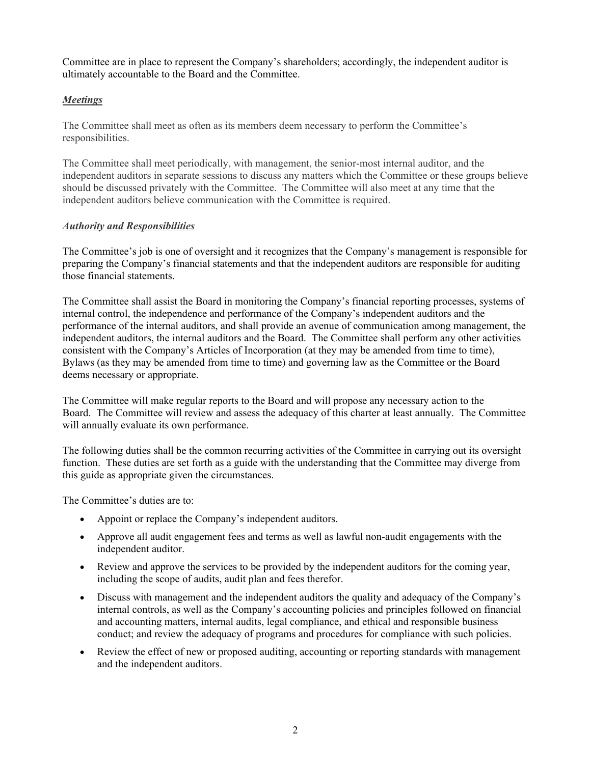Committee are in place to represent the Company's shareholders; accordingly, the independent auditor is ultimately accountable to the Board and the Committee.

## *Meetings*

The Committee shall meet as often as its members deem necessary to perform the Committee's responsibilities.

The Committee shall meet periodically, with management, the senior-most internal auditor, and the independent auditors in separate sessions to discuss any matters which the Committee or these groups believe should be discussed privately with the Committee. The Committee will also meet at any time that the independent auditors believe communication with the Committee is required.

## *Authority and Responsibilities*

The Committee's job is one of oversight and it recognizes that the Company's management is responsible for preparing the Company's financial statements and that the independent auditors are responsible for auditing those financial statements.

The Committee shall assist the Board in monitoring the Company's financial reporting processes, systems of internal control, the independence and performance of the Company's independent auditors and the performance of the internal auditors, and shall provide an avenue of communication among management, the independent auditors, the internal auditors and the Board. The Committee shall perform any other activities consistent with the Company's Articles of Incorporation (at they may be amended from time to time), Bylaws (as they may be amended from time to time) and governing law as the Committee or the Board deems necessary or appropriate.

The Committee will make regular reports to the Board and will propose any necessary action to the Board. The Committee will review and assess the adequacy of this charter at least annually. The Committee will annually evaluate its own performance.

The following duties shall be the common recurring activities of the Committee in carrying out its oversight function. These duties are set forth as a guide with the understanding that the Committee may diverge from this guide as appropriate given the circumstances.

The Committee's duties are to:

- Appoint or replace the Company's independent auditors.
- Approve all audit engagement fees and terms as well as lawful non-audit engagements with the independent auditor.
- Review and approve the services to be provided by the independent auditors for the coming year, including the scope of audits, audit plan and fees therefor.
- Discuss with management and the independent auditors the quality and adequacy of the Company's internal controls, as well as the Company's accounting policies and principles followed on financial and accounting matters, internal audits, legal compliance, and ethical and responsible business conduct; and review the adequacy of programs and procedures for compliance with such policies.
- Review the effect of new or proposed auditing, accounting or reporting standards with management and the independent auditors.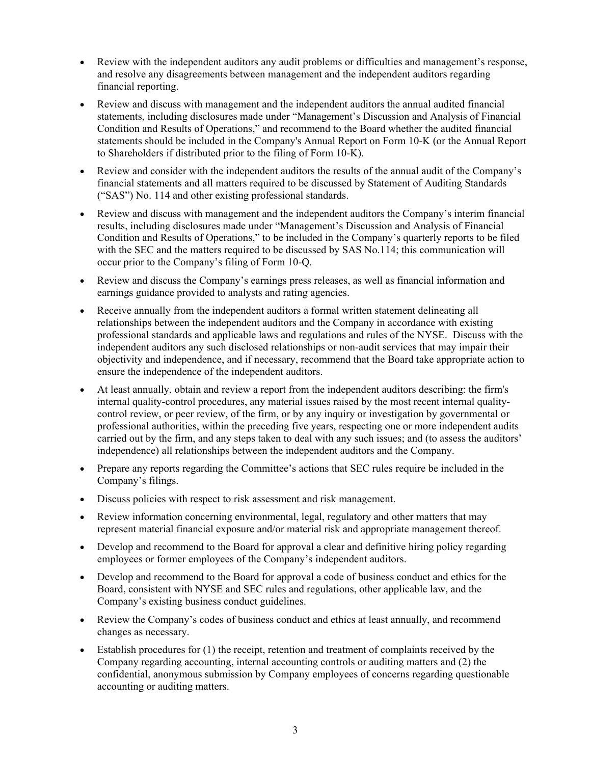- Review with the independent auditors any audit problems or difficulties and management's response, and resolve any disagreements between management and the independent auditors regarding financial reporting.
- Review and discuss with management and the independent auditors the annual audited financial statements, including disclosures made under "Management's Discussion and Analysis of Financial Condition and Results of Operations," and recommend to the Board whether the audited financial statements should be included in the Company's Annual Report on Form 10-K (or the Annual Report to Shareholders if distributed prior to the filing of Form 10-K).
- Review and consider with the independent auditors the results of the annual audit of the Company's financial statements and all matters required to be discussed by Statement of Auditing Standards ("SAS") No. 114 and other existing professional standards.
- Review and discuss with management and the independent auditors the Company's interim financial results, including disclosures made under "Management's Discussion and Analysis of Financial Condition and Results of Operations," to be included in the Company's quarterly reports to be filed with the SEC and the matters required to be discussed by SAS No.114; this communication will occur prior to the Company's filing of Form 10-Q.
- Review and discuss the Company's earnings press releases, as well as financial information and earnings guidance provided to analysts and rating agencies.
- Receive annually from the independent auditors a formal written statement delineating all relationships between the independent auditors and the Company in accordance with existing professional standards and applicable laws and regulations and rules of the NYSE. Discuss with the independent auditors any such disclosed relationships or non-audit services that may impair their objectivity and independence, and if necessary, recommend that the Board take appropriate action to ensure the independence of the independent auditors.
- At least annually, obtain and review a report from the independent auditors describing: the firm's internal quality-control procedures, any material issues raised by the most recent internal qualitycontrol review, or peer review, of the firm, or by any inquiry or investigation by governmental or professional authorities, within the preceding five years, respecting one or more independent audits carried out by the firm, and any steps taken to deal with any such issues; and (to assess the auditors' independence) all relationships between the independent auditors and the Company.
- Prepare any reports regarding the Committee's actions that SEC rules require be included in the Company's filings.
- Discuss policies with respect to risk assessment and risk management.
- Review information concerning environmental, legal, regulatory and other matters that may represent material financial exposure and/or material risk and appropriate management thereof.
- Develop and recommend to the Board for approval a clear and definitive hiring policy regarding employees or former employees of the Company's independent auditors.
- Develop and recommend to the Board for approval a code of business conduct and ethics for the Board, consistent with NYSE and SEC rules and regulations, other applicable law, and the Company's existing business conduct guidelines.
- Review the Company's codes of business conduct and ethics at least annually, and recommend changes as necessary.
- Establish procedures for (1) the receipt, retention and treatment of complaints received by the Company regarding accounting, internal accounting controls or auditing matters and (2) the confidential, anonymous submission by Company employees of concerns regarding questionable accounting or auditing matters.